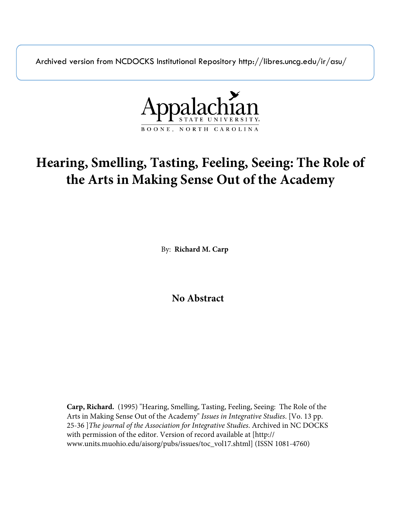Archived version from NCDOCKS Institutional Repository http://libres.uncg.edu/ir/asu/



# **Hearing, Smelling, Tasting, Feeling, Seeing: The Role of the Arts in Making Sense Out of the Academy**

By: **Richard M. Carp**

**No Abstract**

**Carp, Richard.** (1995) "Hearing, Smelling, Tasting, Feeling, Seeing: The Role of the Arts in Making Sense Out of the Academy" *Issues in Integrative Studies*. [Vo. 13 pp. 25-36 ]*The journal of the Association for Integrative Studies*. Archived in NC DOCKS with permission of the editor. Version of record available at [http:// www.units.muohio.edu/aisorg/pubs/issues/toc\_vol17.shtml] (ISSN 1081-4760)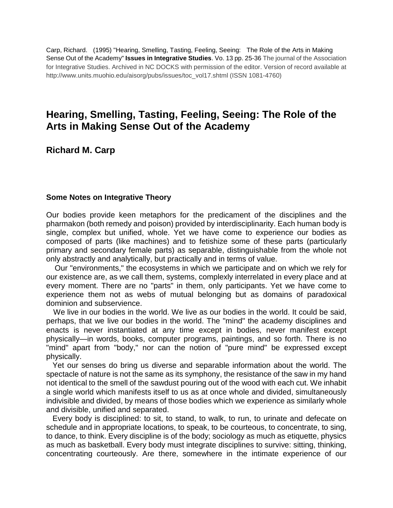Carp, Richard. (1995) "Hearing, Smelling, Tasting, Feeling, Seeing: The Role of the Arts in Making Sense Out of the Academy" **Issues in Integrative Studies**. Vo. 13 pp. 25-36 The journal of the Association for Integrative Studies. Archived in NC DOCKS with permission of the editor. Version of record available at http://www.units.muohio.edu/aisorg/pubs/issues/toc\_vol17.shtml (ISSN 1081-4760)

## **Hearing, Smelling, Tasting, Feeling, Seeing: The Role of the Arts in Making Sense Out of the Academy**

### **Richard M. Carp**

#### **Some Notes on Integrative Theory**

Our bodies provide keen metaphors for the predicament of the disciplines and the pharmakon (both remedy and poison) provided by interdisciplinarity. Each human body is single, complex but unified, whole. Yet we have come to experience our bodies as composed of parts (like machines) and to fetishize some of these parts (particularly primary and secondary female parts) as separable, distinguishable from the whole not only abstractly and analytically, but practically and in terms of value.

Our "environments," the ecosystems in which we participate and on which we rely for our existence are, as we call them, systems, complexly interrelated in every place and at every moment. There are no "parts" in them, only participants. Yet we have come to experience them not as webs of mutual belonging but as domains of paradoxical dominion and subservience.

We live in our bodies in the world. We live as our bodies in the world. It could be said, perhaps, that we live our bodies in the world. The "mind" the academy disciplines and enacts is never instantiated at any time except in bodies, never manifest except physically—in words, books, computer programs, paintings, and so forth. There is no "mind" apart from "body," nor can the notion of "pure mind" be expressed except physically.

Yet our senses do bring us diverse and separable information about the world. The spectacle of nature is not the same as its symphony, the resistance of the saw in my hand not identical to the smell of the sawdust pouring out of the wood with each cut. We inhabit a single world which manifests itself to us as at once whole and divided, simultaneously indivisible and divided, by means of those bodies which we experience as similarly whole and divisible, unified and separated.

Every body is disciplined: to sit, to stand, to walk, to run, to urinate and defecate on schedule and in appropriate locations, to speak, to be courteous, to concentrate, to sing, to dance, to think. Every discipline is of the body; sociology as much as etiquette, physics as much as basketball. Every body must integrate disciplines to survive: sitting, thinking, concentrating courteously. Are there, somewhere in the intimate experience of our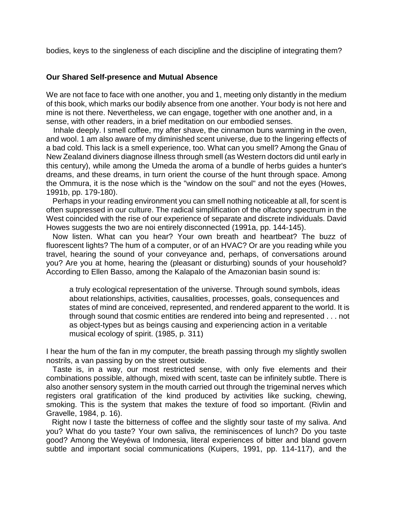bodies, keys to the singleness of each discipline and the discipline of integrating them?

#### **Our Shared Self-presence and Mutual Absence**

We are not face to face with one another, you and 1, meeting only distantly in the medium of this book, which marks our bodily absence from one another. Your body is not here and mine is not there. Nevertheless, we can engage, together with one another and, in a sense, with other readers, in a brief meditation on our embodied senses.

Inhale deeply. I smell coffee, my after shave, the cinnamon buns warming in the oven, and wool. 1 am also aware of my diminished scent universe, due to the lingering effects of a bad cold. This lack is a smell experience, too. What can you smell? Among the Gnau of New Zealand diviners diagnose illness through smell (as Western doctors did until early in this century), while among the Umeda the aroma of a bundle of herbs guides a hunter's dreams, and these dreams, in turn orient the course of the hunt through space. Among the Ommura, it is the nose which is the "window on the soul" and not the eyes (Howes, 1991b, pp. 179-180).

Perhaps in your reading environment you can smell nothing noticeable at all, for scent is often suppressed in our culture. The radical simplification of the olfactory spectrum in the West coincided with the rise of our experience of separate and discrete individuals. David Howes suggests the two are noi entirely disconnected (1991a, pp. 144-145).

Now listen. What can you hear? Your own breath and heartbeat? The buzz of fluorescent lights? The hum of a computer, or of an HVAC? Or are you reading while you travel, hearing the sound of your conveyance and, perhaps, of conversations around you? Are you at home, hearing the (pleasant or disturbing) sounds of your household? According to Ellen Basso, among the Kalapalo of the Amazonian basin sound is:

a truly ecological representation of the universe. Through sound symbols, ideas about relationships, activities, causalities, processes, goals, consequences and states of mind are conceived, represented, and rendered apparent to the world. It is through sound that cosmic entities are rendered into being and represented . . . not as object-types but as beings causing and experiencing action in a veritable musical ecology of spirit. (1985, p. 311)

I hear the hum of the fan in my computer, the breath passing through my slightly swollen nostrils, a van passing by on the street outside.

Taste is, in a way, our most restricted sense, with only five elements and their combinations possible, although, mixed with scent, taste can be infinitely subtle. There is also another sensory system in the mouth carried out through the trigeminal nerves which registers oral gratification of the kind produced by activities like sucking, chewing, smoking. This is the system that makes the texture of food so important. (Rivlin and Gravelle, 1984, p. 16).

Right now I taste the bitterness of coffee and the slightly sour taste of my saliva. And you? What do you taste? Your own saliva, the reminiscences of lunch? Do you taste good? Among the Weyéwa of Indonesia, literal experiences of bitter and bland govern subtle and important social communications (Kuipers, 1991, pp. 114-117), and the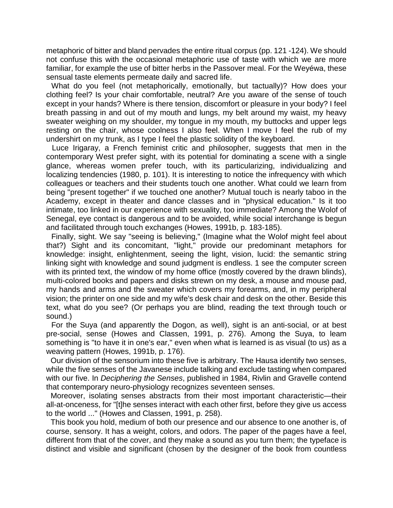metaphoric of bitter and bland pervades the entire ritual corpus (pp. 121 -124). We should not confuse this with the occasional metaphoric use of taste with which we are more familiar, for example the use of bitter herbs in the Passover meal. For the Weyéwa, these sensual taste elements permeate daily and sacred life.

What do you feel (not metaphorically, emotionally, but tactually)? How does your clothing feel? Is your chair comfortable, neutral? Are you aware of the sense of touch except in your hands? Where is there tension, discomfort or pleasure in your body? I feel breath passing in and out of my mouth and lungs, my belt around my waist, my heavy sweater weighing on my shoulder, my tongue in my mouth, my buttocks and upper legs resting on the chair, whose coolness I also feel. When I move I feel the rub of my undershirt on my trunk, as I type I feel the plastic solidity of the keyboard.

Luce Irigaray, a French feminist critic and philosopher, suggests that men in the contemporary West prefer sight, with its potential for dominating a scene with a single glance, whereas women prefer touch, with its particularizing, individualizing and localizing tendencies (1980, p. 101). It is interesting to notice the infrequency with which colleagues or teachers and their students touch one another. What could we learn from being "present together" if we touched one another? Mutual touch is nearly taboo in the Academy, except in theater and dance classes and in "physical education." Is it too intimate, too linked in our experience with sexuality, too immediate? Among the Wolof of Senegal, eye contact is dangerous and to be avoided, while social interchange is begun and facilitated through touch exchanges (Howes, 1991b, p. 183-185).

Finally, sight. We say "seeing is believing," (Imagine what the Wolof might feel about that?) Sight and its concomitant, "light," provide our predominant metaphors for knowledge: insight, enlightenment, seeing the light, vision, lucid: the semantic string linking sight with knowledge and sound judgment is endless. 1 see the computer screen with its printed text, the window of my home office (mostly covered by the drawn blinds), multi-colored books and papers and disks strewn on my desk, a mouse and mouse pad, my hands and arms and the sweater which covers my forearms, and, in my peripheral vision; the printer on one side and my wife's desk chair and desk on the other. Beside this text, what do you see? (Or perhaps you are blind, reading the text through touch or sound.)

For the Suya (and apparently the Dogon, as well), sight is an anti-social, or at best pre-social, sense (Howes and Classen, 1991, p. 276). Among the Suya, to leam something is "to have it in one's ear," even when what is learned is as visual (to us) as a weaving pattern (Howes, 1991b, p. 176).

Our division of the sensorium into these five is arbitrary. The Hausa identify two senses, while the five senses of the Javanese include talking and exclude tasting when compared with our five. In *Deciphering the Senses*, published in 1984, Rivlin and Gravelle contend that contemporary neuro-physiology recognizes seventeen senses.

Moreover, isolating senses abstracts from their most important characteristic—their all-at-onceness, for "[t]he senses interact with each other first, before they give us access to the world ..." (Howes and Classen, 1991, p. 258).

This book you hold, medium of both our presence and our absence to one another is, of course, sensory. It has a weight, colors, and odors. The paper of the pages have a feel, different from that of the cover, and they make a sound as you turn them; the typeface is distinct and visible and significant (chosen by the designer of the book from countless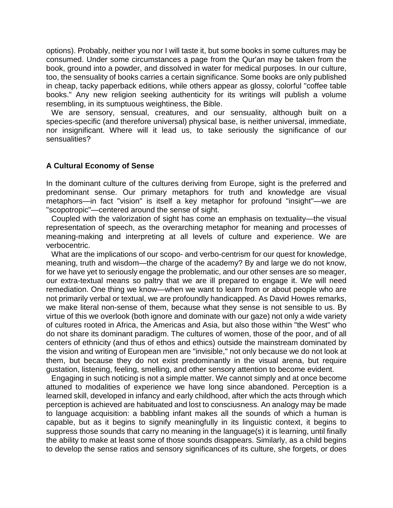options). Probably, neither you nor I will taste it, but some books in some cultures may be consumed. Under some circumstances a page from the Qur'an may be taken from the book, ground into a powder, and dissolved in water for medical purposes. In our culture, too, the sensuality of books carries a certain significance. Some books are only published in cheap, tacky paperback editions, while others appear as glossy, colorful "coffee table books." Any new religion seeking authenticity for its writings will publish a volume resembling, in its sumptuous weightiness, the Bible.

We are sensory, sensual, creatures, and our sensuality, although built on a species-specific (and therefore universal) physical base, is neither universal, immediate, nor insignificant. Where will it lead us, to take seriously the significance of our sensualities?

#### **A Cultural Economy of Sense**

In the dominant culture of the cultures deriving from Europe, sight is the preferred and predominant sense. Our primary metaphors for truth and knowledge are visual metaphors—in fact "vision" is itself a key metaphor for profound "insight"—we are "scopotropic"—centered around the sense of sight.

Coupled with the valorization of sight has come an emphasis on textuality—the visual representation of speech, as the overarching metaphor for meaning and processes of meaning-making and interpreting at all levels of culture and experience. We are verbocentric.

What are the implications of our scopo- and verbo-centrism for our quest for knowledge, meaning, truth and wisdom—the charge of the academy? By and large we do not know, for we have yet to seriously engage the problematic, and our other senses are so meager, our extra-textual means so paltry that we are ill prepared to engage it. We will need remediation. One thing we know—when we want to learn from or about people who are not primarily verbal or textual, we are profoundly handicapped. As David Howes remarks, we make literal non-sense of them, because what they sense is not sensible to us. By virtue of this we overlook (both ignore and dominate with our gaze) not only a wide variety of cultures rooted in Africa, the Americas and Asia, but also those within "the West" who do not share its dominant paradigm. The cultures of women, those of the poor, and of all centers of ethnicity (and thus of ethos and ethics) outside the mainstream dominated by the vision and writing of European men are "invisible," not only because we do not look at them, but because they do not exist predominantly in the visual arena, but require gustation, listening, feeling, smelling, and other sensory attention to become evident.

Engaging in such noticing is not a simple matter. We cannot simply and at once become attuned to modalities of experience we have long since abandoned. Perception is a learned skill, developed in infancy and early childhood, after which the acts through which perception is achieved are habituated and lost to consciusness. An analogy may be made to language acquisition: a babbling infant makes all the sounds of which a human is capable, but as it begins to signify meaningfully in its linguistic context, it begins to suppress those sounds that carry no meaning in the language(s) it is learning, until finally the ability to make at least some of those sounds disappears. Similarly, as a child begins to develop the sense ratios and sensory significances of its culture, she forgets, or does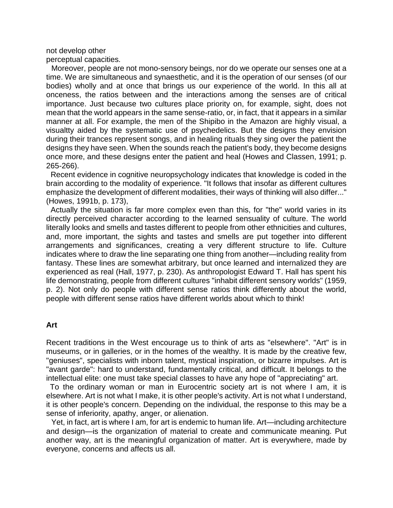not develop other

perceptual capacities.

Moreover, people are not mono-sensory beings, nor do we operate our senses one at a time. We are simultaneous and synaesthetic, and it is the operation of our senses (of our bodies) wholly and at once that brings us our experience of the world. In this all at onceness, the ratios between and the interactions among the senses are of critical importance. Just because two cultures place priority on, for example, sight, does not mean that the world appears in the same sense-ratio, or, in fact, that it appears in a similar manner at all. For example, the men of the Shipibo in the Amazon are highly visual, a visualtty aided by the systematic use of psychedelics. But the designs they envision during their trances represent songs, and in healing rituals they sing over the patient the designs they have seen. When the sounds reach the patient's body, they become designs once more, and these designs enter the patient and heal (Howes and Classen, 1991; p. 265-266).

Recent evidence in cognitive neuropsychology indicates that knowledge is coded in the brain according to the modality of experience. "It follows that insofar as different cultures emphasize the development of different modalities, their ways of thinking will also differ..." (Howes, 1991b, p. 173),

Actually the situation is far more complex even than this, for "the" world varies in its directly perceived character according to the learned sensuality of culture. The world literally looks and smells and tastes different to people from other ethnicities and cultures, and, more important, the sights and tastes and smells are put together into different arrangements and significances, creating a very different structure to life. Culture indicates where to draw the line separating one thing from another—including reality from fantasy. These lines are somewhat arbitrary, but once learned and internalized they are experienced as real (Hall, 1977, p. 230). As anthropologist Edward T. Hall has spent his life demonstrating, people from different cultures "inhabit different sensory worlds" (1959, p. 2). Not only do people with different sense ratios think differently about the world, people with different sense ratios have different worlds about which to think!

#### **Art**

Recent traditions in the West encourage us to think of arts as "elsewhere". "Art" is in museums, or in galleries, or in the homes of the wealthy. It is made by the creative few, "geniuses", specialists with inborn talent, mystical inspiration, or bizarre impulses. Art is "avant garde": hard to understand, fundamentally critical, and difficult. It belongs to the intellectual elite: one must take special classes to have any hope of "appreciating" art.

To the ordinary woman or man in Eurocentric society art is not where I am, it is elsewhere. Art is not what I make, it is other people's activity. Art is not what I understand, it is other people's concern. Depending on the individual, the response to this may be a sense of inferiority, apathy, anger, or alienation.

Yet, in fact, art is where I am, for art is endemic to human life. Art—including architecture and design—is the organization of material to create and communicate meaning. Put another way, art is the meaningful organization of matter. Art is everywhere, made by everyone, concerns and affects us all.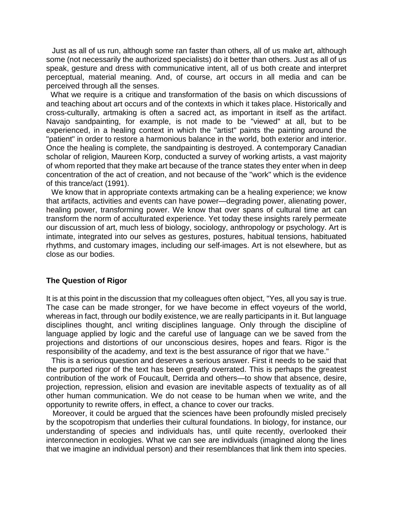Just as all of us run, although some ran faster than others, all of us make art, although some (not necessarily the authorized specialists) do it better than others. Just as all of us speak, gesture and dress with communicative intent, all of us both create and interpret perceptual, material meaning. And, of course, art occurs in all media and can be perceived through all the senses.

What we require is a critique and transformation of the basis on which discussions of and teaching about art occurs and of the contexts in which it takes place. Historically and cross-culturally, artmaking is often a sacred act, as important in itself as the artifact. Navajo sandpainting, for example, is not made to be "viewed" at all, but to be experienced, in a healing context in which the "artist" paints the painting around the "patient" in order to restore a harmonious balance in the world, both exterior and interior. Once the healing is complete, the sandpainting is destroyed. A contemporary Canadian scholar of religion, Maureen Korp, conducted a survey of working artists, a vast majority of whom reported that they make art because of the trance states they enter when in deep concentration of the act of creation, and not because of the "work" which is the evidence of this trance/act (1991).

We know that in appropriate contexts artmaking can be a healing experience; we know that artifacts, activities and events can have power—degrading power, alienating power, healing power, transforming power. We know that over spans of cultural time art can transform the norm of acculturated experience. Yet today these insights rarely permeate our discussion of art, much less of biology, sociology, anthropology or psychology. Art is intimate, integrated into our selves as gestures, postures, habitual tensions, habituated rhythms, and customary images, including our self-images. Art is not elsewhere, but as close as our bodies.

#### **The Question of Rigor**

It is at this point in the discussion that my colleagues often object, "Yes, all you say is true. The case can be made stronger, for we have become in effect voyeurs of the world, whereas in fact, through our bodily existence, we are really participants in it. But language disciplines thought, ancl writing disciplines language. Only through the discipline of language applied by logic and the careful use of language can we be saved from the projections and distortions of our unconscious desires, hopes and fears. Rigor is the responsibility of the academy, and text is the best assurance of rigor that we have."

This is a serious question and deserves a serious answer. First it needs to be said that the purported rigor of the text has been greatly overrated. This is perhaps the greatest contribution of the work of Foucault, Derrida and others—to show that absence, desire, projection, repression, elision and evasion are inevitable aspects of textuality as of all other human communication. We do not cease to be human when we write, and the opportunity to rewrite offers, in effect, a chance to cover our tracks.

Moreover, it could be argued that the sciences have been profoundly misled precisely by the scopotropism that underlies their cultural foundations. In biology, for instance, our understanding of species and individuals has, until quite recently, overlooked their interconnection in ecologies. What we can see are individuals (imagined along the lines that we imagine an individual person) and their resemblances that link them into species.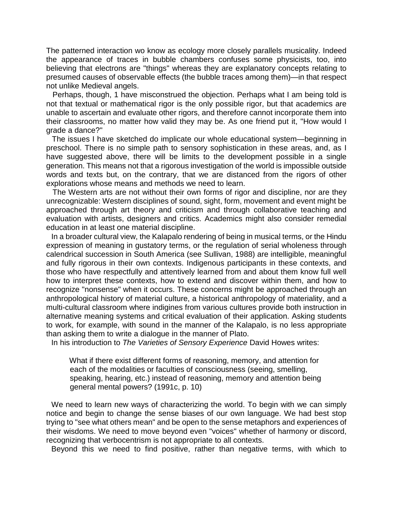The patterned interaction wo know as ecology more closely parallels musicality. Indeed the appearance of traces in bubble chambers confuses some physicists, too, into believing that electrons are "things" whereas they are explanatory concepts relating to presumed causes of observable effects (the bubble traces among them)—in that respect not unlike Medieval angels.

Perhaps, though, 1 have misconstrued the objection. Perhaps what I am being told is not that textual or mathematical rigor is the only possible rigor, but that academics are unable to ascertain and evaluate other rigors, and therefore cannot incorporate them into their classrooms, no matter how valid they may be. As one friend put it, "How would I grade a dance?"

The issues I have sketched do implicate our whole educational system—beginning in preschool. There is no simple path to sensory sophistication in these areas, and, as I have suggested above, there will be limits to the development possible in a single generation. This means not that a rigorous investigation of the world is impossible outside words and texts but, on the contrary, that we are distanced from the rigors of other explorations whose means and methods we need to learn.

The Western arts are not without their own forms of rigor and discipline, nor are they unrecognizable: Western disciplines of sound, sight, form, movement and event might be approached through art theory and criticism and through collaborative teaching and evaluation with artists, designers and critics. Academics might also consider remedial education in at least one material discipline.

In a broader cultural view, the Kalapalo rendering of being in musical terms, or the Hindu expression of meaning in gustatory terms, or the regulation of serial wholeness through calendrical succession in South America (see Sullivan, 1988) are intelligible, meaningful and fully rigorous in their own contexts. Indigenous participants in these contexts, and those who have respectfully and attentively learned from and about them know full well how to interpret these contexts, how to extend and discover within them, and how to recognize "nonsense" when it occurs. These concerns might be approached through an anthropological history of material culture, a historical anthropology of materiality, and a multi-cultural classroom where indigines from various cultures provide both instruction in alternative meaning systems and critical evaluation of their application. Asking students to work, for example, with sound in the manner of the Kalapalo, is no less appropriate than asking them to write a dialogue in the manner of Plato.

In his introduction to *The Varieties of Sensory Experience* David Howes writes:

What if there exist different forms of reasoning, memory, and attention for each of the modalities or faculties of consciousness (seeing, smelling, speaking, hearing, etc.) instead of reasoning, memory and attention being general mental powers? (1991c, p. 10)

We need to learn new ways of characterizing the world. To begin with we can simply notice and begin to change the sense biases of our own language. We had best stop trying to "see what others mean" and be open to the sense metaphors and experiences of their wisdoms. We need to move beyond even "voices" whether of harmony or discord, recognizing that verbocentrism is not appropriate to all contexts.

Beyond this we need to find positive, rather than negative terms, with which to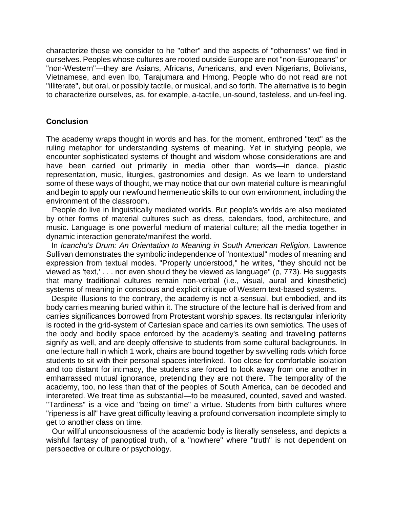characterize those we consider to he "other" and the aspects of "otherness" we find in ourselves. Peoples whose cultures are rooted outside Europe are not "non-Europeans" or "non-Western"—they are Asians, Africans, Americans, and even Nigerians, Bolivians, Vietnamese, and even Ibo, Tarajumara and Hmong. People who do not read are not "illiterate", but oral, or possibly tactile, or musical, and so forth. The alternative is to begin to characterize ourselves, as, for example, a-tactile, un-sound, tasteless, and un-feel ing.

#### **Conclusion**

The academy wraps thought in words and has, for the moment, enthroned "text" as the ruling metaphor for understanding systems of meaning. Yet in studying people, we encounter sophisticated systems of thought and wisdom whose considerations are and have been carried out primarily in media other than words—in dance, plastic representation, music, liturgies, gastronomies and design. As we learn to understand some of these ways of thought, we may notice that our own material culture is meaningful and begin to apply our newfound hermeneutic skills to our own environment, including the environment of the classroom.

People do live in linguistically mediated worlds. But people's worlds are also mediated by other forms of material cultures such as dress, calendars, food, architecture, and music. Language is one powerful medium of material culture; all the media together in dynamic interaction generate/manifest the world.

In *Icanchu's Drum: An Orientation to Meaning in South American Religion,* Lawrence Sullivan demonstrates the symbolic independence of "nontextual" modes of meaning and expression from textual modes. "Properly understood," he writes, "they should not be viewed as 'text,' . . . nor even should they be viewed as language" (p, 773). He suggests that many traditional cultures remain non-verbal (i.e., visual, aural and kinesthetic) systems of meaning in conscious and explicit critique of Western text-based systems.

Despite illusions to the contrary, the academy is not a-sensual, but embodied, and its body carries meaning buried within it. The structure of the lecture hall is derived from and carries significances borrowed from Protestant worship spaces. Its rectangular inferiority is rooted in the grid-system of Cartesian space and carries its own semiotics. The uses of the body and bodily space enforced by the academy's seating and traveling patterns signify as well, and are deeply offensive to students from some cultural backgrounds. In one lecture hall in which 1 work, chairs are bound together by swivelling rods which force students to sit with their personal spaces interlinked. Too close for comfortable isolation and too distant for intimacy, the students are forced to look away from one another in emharrassed mutual ignorance, pretending they are not there. The temporality of the academy, too, no less than that of the peoples of South America, can be decoded and interpreted. We treat time as substantial—to be measured, counted, saved and wasted. "Tardiness" is a vice and "being on time" a virtue. Students from birth cultures where "ripeness is all" have great difficulty leaving a profound conversation incomplete simply to get to another class on time.

Our willful unconsciousness of the academic body is literally senseless, and depicts a wishful fantasy of panoptical truth, of a "nowhere" where "truth" is not dependent on perspective or culture or psychology.